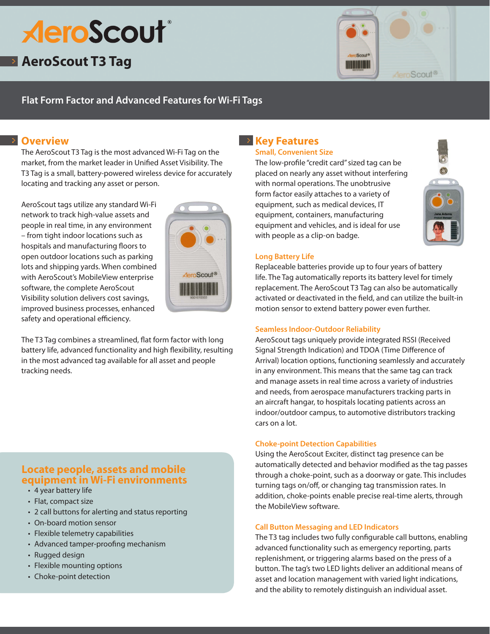# **AeroScout**®

## **AeroScout T3 Tag**



## **Flat Form Factor and Advanced Features for Wi-Fi Tags**

## **Overview**

The AeroScout T3 Tag is the most advanced Wi-Fi Tag on the market, from the market leader in Unified Asset Visibility. The T3 Tag is a small, battery-powered wireless device for accurately locating and tracking any asset or person.

AeroScout tags utilize any standard Wi-Fi network to track high-value assets and people in real time, in any environment – from tight indoor locations such as hospitals and manufacturing floors to open outdoor locations such as parking lots and shipping yards. When combined with AeroScout's MobileView enterprise software, the complete AeroScout Visibility solution delivers cost savings, improved business processes, enhanced safety and operational efficiency.



The T3 Tag combines a streamlined, flat form factor with long battery life, advanced functionality and high flexibility, resulting in the most advanced tag available for all asset and people tracking needs.

## **Locate people, assets and mobile equipment in Wi-Fi environments**

- 4 year battery life
- Flat, compact size
- 2 call buttons for alerting and status reporting
- On-board motion sensor
- Flexible telemetry capabilities
- Advanced tamper-proofing mechanism
- Rugged design
- Flexible mounting options
- Choke-point detection

## **EXECTE REALLY Key Features**

#### **Small, Convenient Size**

The low-profile "credit card" sized tag can be placed on nearly any asset without interfering with normal operations. The unobtrusive form factor easily attaches to a variety of equipment, such as medical devices, IT equipment, containers, manufacturing equipment and vehicles, and is ideal for use with people as a clip-on badge.



#### **Long Battery Life**

Replaceable batteries provide up to four years of battery life. The Tag automatically reports its battery level for timely replacement. The AeroScout T3 Tag can also be automatically activated or deactivated in the field, and can utilize the built-in motion sensor to extend battery power even further.

#### **Seamless Indoor-Outdoor Reliability**

AeroScout tags uniquely provide integrated RSSI (Received Signal Strength Indication) and TDOA (Time Difference of Arrival) location options, functioning seamlessly and accurately in any environment. This means that the same tag can track and manage assets in real time across a variety of industries and needs, from aerospace manufacturers tracking parts in an aircraft hangar, to hospitals locating patients across an indoor/outdoor campus, to automotive distributors tracking cars on a lot.

#### **Choke-point Detection Capabilities**

Using the AeroScout Exciter, distinct tag presence can be automatically detected and behavior modified as the tag passes through a choke-point, such as a doorway or gate. This includes turning tags on/off, or changing tag transmission rates. In addition, choke-points enable precise real-time alerts, through the MobileView software.

#### **Call Button Messaging and LED Indicators**

The T3 tag includes two fully configurable call buttons, enabling advanced functionality such as emergency reporting, parts replenishment, or triggering alarms based on the press of a button. The tag's two LED lights deliver an additional means of asset and location management with varied light indications, and the ability to remotely distinguish an individual asset.